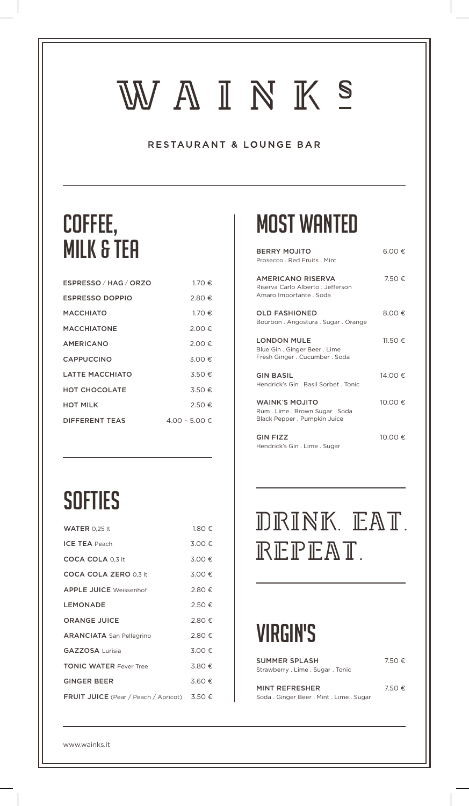# WAINKS

#### RESTAURANT & LOUNGE BAR

## Coffee, milk & tea

| ESPRESSO / HAG / ORZO  | 1.70€         |
|------------------------|---------------|
| <b>ESPRESSO DOPPIO</b> | 2.80€         |
| MACCHIATO              | 1.70€         |
| <b>MACCHIATONE</b>     | 2.00€         |
| <b>AMERICANO</b>       | $2.00 \in$    |
| <b>CAPPUCCINO</b>      | 3.00€         |
| <b>LATTE MACCHIATO</b> | 3.50€         |
| <b>HOT CHOCOLATE</b>   | $3.50 \in$    |
| <b>HOT MILK</b>        | 2.50€         |
| <b>DIFFERENT TEAS</b>  | 4.00 − 5.00 € |
|                        |               |

## **SOFTIES**

| WATER 0.25 lt                                               | 1.80 € |
|-------------------------------------------------------------|--------|
| <b>ICE TEA Peach</b>                                        | 3.00 € |
| <b>COCA COLA 0.3 It</b>                                     | 3.00€  |
| <b>COCA COLA ZERO 0.3 It</b>                                | 3.00€  |
| <b>APPLE JUICE Weissenhof</b>                               | 2.80 € |
| LEMONADE                                                    | 2.50 € |
| <b>ORANGE JUICE</b>                                         | 2.80€  |
| <b>ARANCIATA</b> San Pellegrino                             | 2.80€  |
| <b>GAZZOSA Lurisia</b>                                      | 3.00 € |
| <b>TONIC WATER Fever Tree</b>                               | 3.80€  |
| <b>GINGER BEER</b>                                          | 3.60€  |
| <b>FRUIT JUICE</b> (Pear / Peach / Apricot) 3.50 $\epsilon$ |        |

#### Most wanted

| <b>BERRY MOJITO</b><br>Prosecco, Red Fruits, Mint                                     | 6.00€    |
|---------------------------------------------------------------------------------------|----------|
| AMERICANO RISERVA<br>Riserva Carlo Alberto . Jefferson<br>Amaro Importante . Soda     | 7.50€    |
| <b>OLD FASHIONED</b><br>Bourbon, Angostura, Sugar, Orange                             | 8.00€    |
| <b>LONDON MULE</b><br>Blue Gin. Ginger Beer. Lime<br>Fresh Ginger . Cucumber . Soda   | 11.50 €  |
| <b>GIN BASIL</b><br>Hendrick's Gin, Basil Sorbet, Tonic                               | 14.00 €. |
| <b>WAINK'S MOJITO</b><br>Rum. Lime. Brown Sugar. Soda<br>Black Pepper . Pumpkin Juice | 10.00 €  |
| <b>GIN FIZZ</b><br>Hendrick's Gin. Lime. Sugar                                        | 10.00 €  |

# DRINK. EAT. REPEAT.

### virgin's

| SUMMER SPLASH                     | 7.50€          |
|-----------------------------------|----------------|
| Strawberry . Lime . Sugar . Tonic |                |
|                                   | $\blacksquare$ |

MINT REFRESHER 7.50  $\epsilon$ Soda . Ginger Beer . Mint . Lime . Sugar

www.wainks.it

 $\overline{\phantom{a}}$